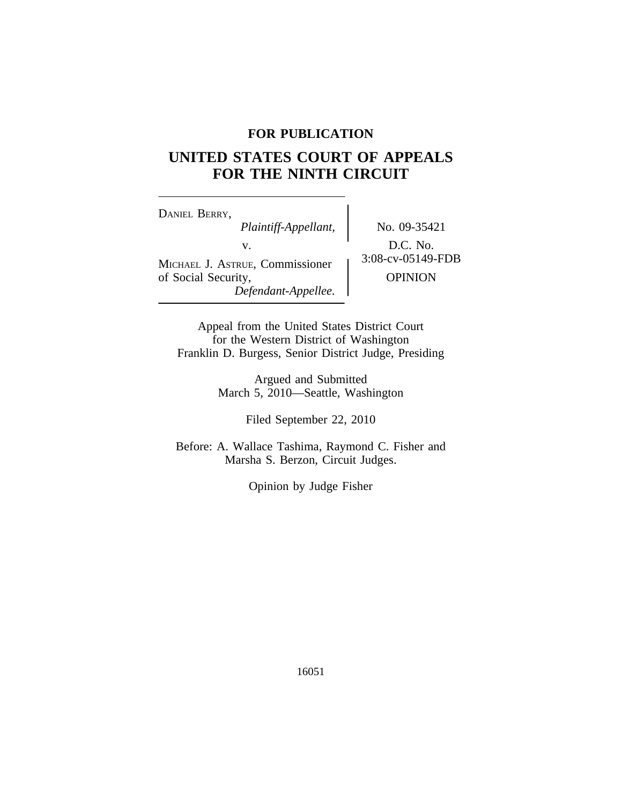## **FOR PUBLICATION**

# **UNITED STATES COURT OF APPEALS FOR THE NINTH CIRCUIT**

<sup>D</sup>ANIEL BERRY, *Plaintiff-Appellant,* No. 09-35421 v.  $D.C. No.$ <br>Formissionar  $3:08\text{-}cv\text{-}05149\text{-}FDB$ MICHAEL J. ASTRUE, Commissioner of Social Security,  $OPINION$ *Defendant-Appellee.*

Appeal from the United States District Court for the Western District of Washington Franklin D. Burgess, Senior District Judge, Presiding

> Argued and Submitted March 5, 2010—Seattle, Washington

> > Filed September 22, 2010

Before: A. Wallace Tashima, Raymond C. Fisher and Marsha S. Berzon, Circuit Judges.

Opinion by Judge Fisher

16051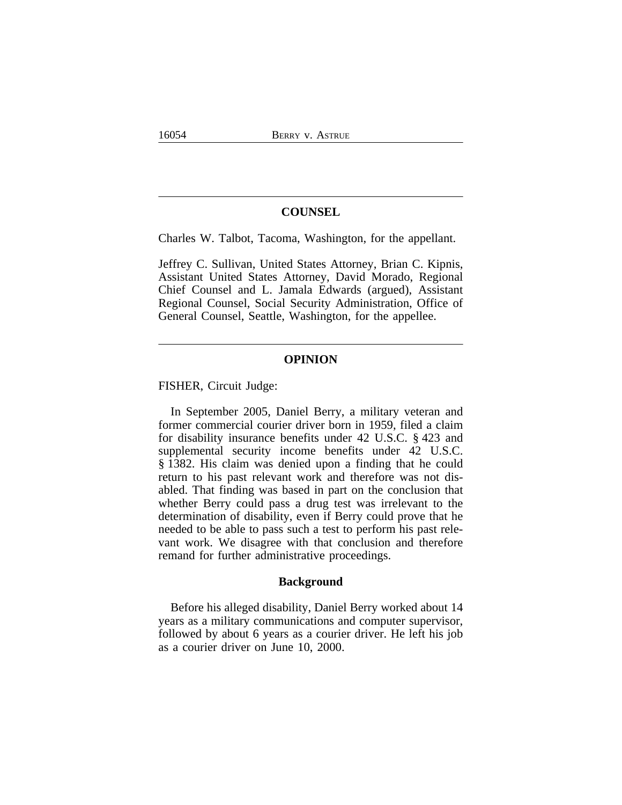### **COUNSEL**

Charles W. Talbot, Tacoma, Washington, for the appellant.

Jeffrey C. Sullivan, United States Attorney, Brian C. Kipnis, Assistant United States Attorney, David Morado, Regional Chief Counsel and L. Jamala Edwards (argued), Assistant Regional Counsel, Social Security Administration, Office of General Counsel, Seattle, Washington, for the appellee.

#### **OPINION**

FISHER, Circuit Judge:

In September 2005, Daniel Berry, a military veteran and former commercial courier driver born in 1959, filed a claim for disability insurance benefits under 42 U.S.C. § 423 and supplemental security income benefits under 42 U.S.C. § 1382. His claim was denied upon a finding that he could return to his past relevant work and therefore was not disabled. That finding was based in part on the conclusion that whether Berry could pass a drug test was irrelevant to the determination of disability, even if Berry could prove that he needed to be able to pass such a test to perform his past relevant work. We disagree with that conclusion and therefore remand for further administrative proceedings.

## **Background**

Before his alleged disability, Daniel Berry worked about 14 years as a military communications and computer supervisor, followed by about 6 years as a courier driver. He left his job as a courier driver on June 10, 2000.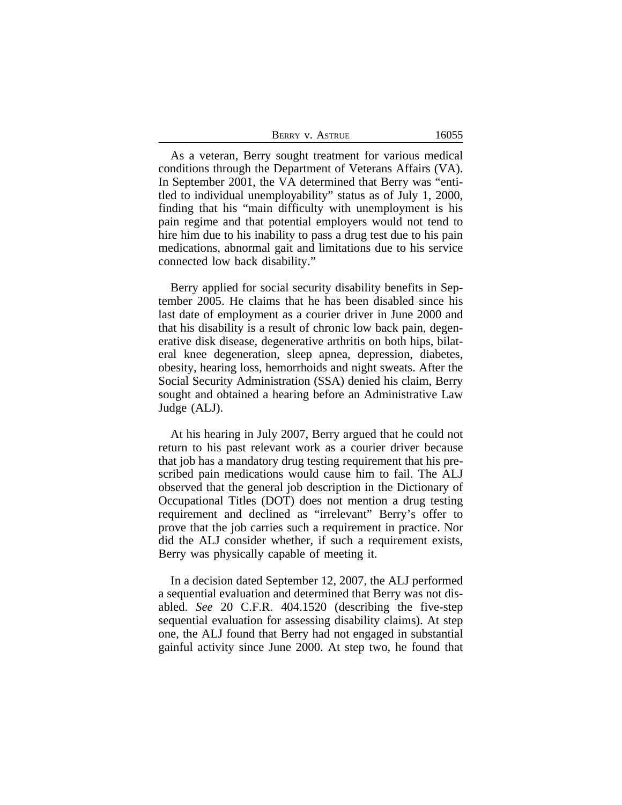| BERRY V. ASTRUE | 16055 |
|-----------------|-------|
|-----------------|-------|

As a veteran, Berry sought treatment for various medical conditions through the Department of Veterans Affairs (VA). In September 2001, the VA determined that Berry was "entitled to individual unemployability" status as of July 1, 2000, finding that his "main difficulty with unemployment is his pain regime and that potential employers would not tend to hire him due to his inability to pass a drug test due to his pain medications, abnormal gait and limitations due to his service connected low back disability."

Berry applied for social security disability benefits in September 2005. He claims that he has been disabled since his last date of employment as a courier driver in June 2000 and that his disability is a result of chronic low back pain, degenerative disk disease, degenerative arthritis on both hips, bilateral knee degeneration, sleep apnea, depression, diabetes, obesity, hearing loss, hemorrhoids and night sweats. After the Social Security Administration (SSA) denied his claim, Berry sought and obtained a hearing before an Administrative Law Judge (ALJ).

At his hearing in July 2007, Berry argued that he could not return to his past relevant work as a courier driver because that job has a mandatory drug testing requirement that his prescribed pain medications would cause him to fail. The ALJ observed that the general job description in the Dictionary of Occupational Titles (DOT) does not mention a drug testing requirement and declined as "irrelevant" Berry's offer to prove that the job carries such a requirement in practice. Nor did the ALJ consider whether, if such a requirement exists, Berry was physically capable of meeting it.

In a decision dated September 12, 2007, the ALJ performed a sequential evaluation and determined that Berry was not disabled. *See* 20 C.F.R. 404.1520 (describing the five-step sequential evaluation for assessing disability claims). At step one, the ALJ found that Berry had not engaged in substantial gainful activity since June 2000. At step two, he found that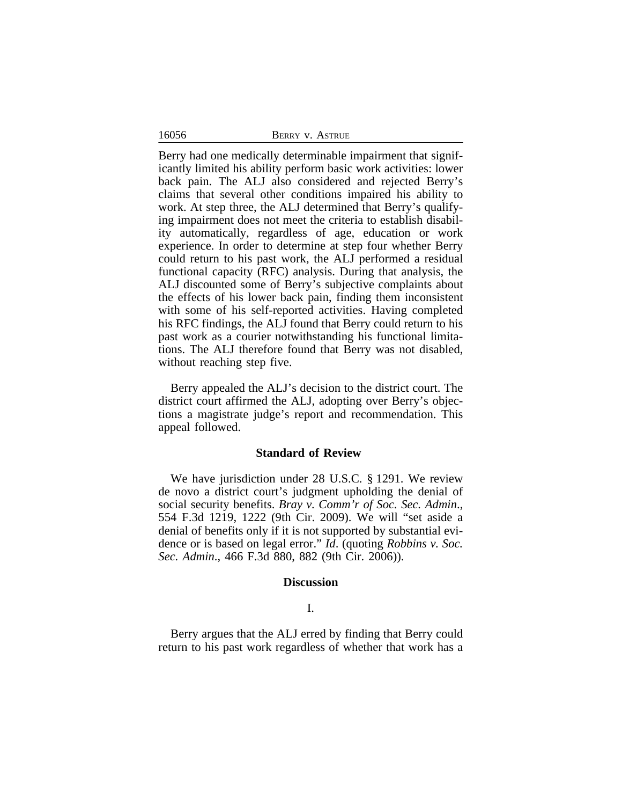16056

Berry had one medically determinable impairment that significantly limited his ability perform basic work activities: lower back pain. The ALJ also considered and rejected Berry's claims that several other conditions impaired his ability to work. At step three, the ALJ determined that Berry's qualifying impairment does not meet the criteria to establish disability automatically, regardless of age, education or work experience. In order to determine at step four whether Berry could return to his past work, the ALJ performed a residual functional capacity (RFC) analysis. During that analysis, the ALJ discounted some of Berry's subjective complaints about the effects of his lower back pain, finding them inconsistent with some of his self-reported activities. Having completed his RFC findings, the ALJ found that Berry could return to his past work as a courier notwithstanding his functional limitations. The ALJ therefore found that Berry was not disabled, without reaching step five.

Berry appealed the ALJ's decision to the district court. The district court affirmed the ALJ, adopting over Berry's objections a magistrate judge's report and recommendation. This appeal followed.

#### **Standard of Review**

We have jurisdiction under 28 U.S.C. § 1291. We review de novo a district court's judgment upholding the denial of social security benefits. *Bray v. Comm'r of Soc. Sec. Admin*., 554 F.3d 1219, 1222 (9th Cir. 2009). We will "set aside a denial of benefits only if it is not supported by substantial evidence or is based on legal error." *Id*. (quoting *Robbins v. Soc. Sec. Admin*., 466 F.3d 880, 882 (9th Cir. 2006)).

#### **Discussion**

#### I.

Berry argues that the ALJ erred by finding that Berry could return to his past work regardless of whether that work has a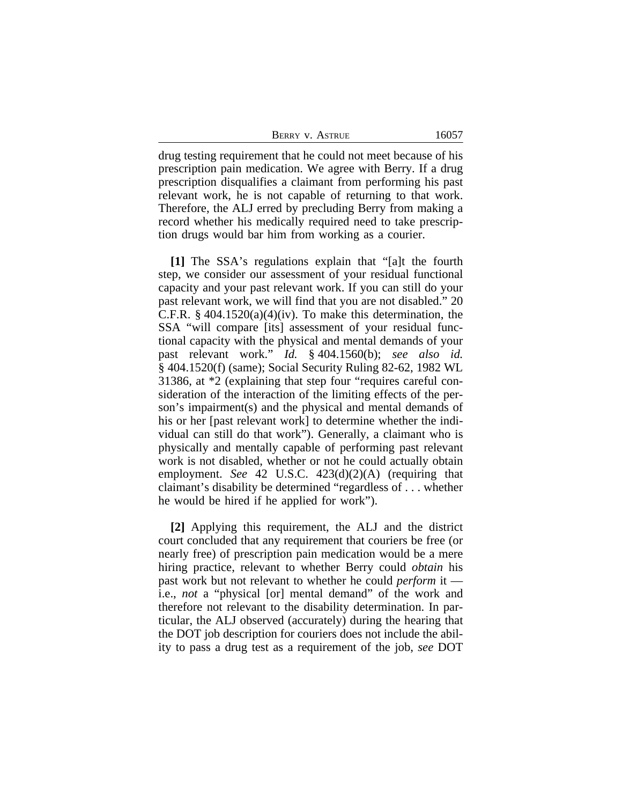| <b>BERRY V. ASTRUE</b> | 16057 |
|------------------------|-------|
|------------------------|-------|

drug testing requirement that he could not meet because of his prescription pain medication. We agree with Berry. If a drug prescription disqualifies a claimant from performing his past relevant work, he is not capable of returning to that work. Therefore, the ALJ erred by precluding Berry from making a record whether his medically required need to take prescription drugs would bar him from working as a courier.

**[1]** The SSA's regulations explain that "[a]t the fourth step, we consider our assessment of your residual functional capacity and your past relevant work. If you can still do your past relevant work, we will find that you are not disabled." 20 C.F.R.  $\S$  404.1520(a)(4)(iv). To make this determination, the SSA "will compare [its] assessment of your residual functional capacity with the physical and mental demands of your past relevant work." *Id.* § 404.1560(b); *see also id.* § 404.1520(f) (same); Social Security Ruling 82-62, 1982 WL 31386, at \*2 (explaining that step four "requires careful consideration of the interaction of the limiting effects of the person's impairment(s) and the physical and mental demands of his or her [past relevant work] to determine whether the individual can still do that work"). Generally, a claimant who is physically and mentally capable of performing past relevant work is not disabled, whether or not he could actually obtain employment. *See* 42 U.S.C. 423(d)(2)(A) (requiring that claimant's disability be determined "regardless of . . . whether he would be hired if he applied for work").

**[2]** Applying this requirement, the ALJ and the district court concluded that any requirement that couriers be free (or nearly free) of prescription pain medication would be a mere hiring practice, relevant to whether Berry could *obtain* his past work but not relevant to whether he could *perform* it i.e., *not* a "physical [or] mental demand" of the work and therefore not relevant to the disability determination. In particular, the ALJ observed (accurately) during the hearing that the DOT job description for couriers does not include the ability to pass a drug test as a requirement of the job, *see* DOT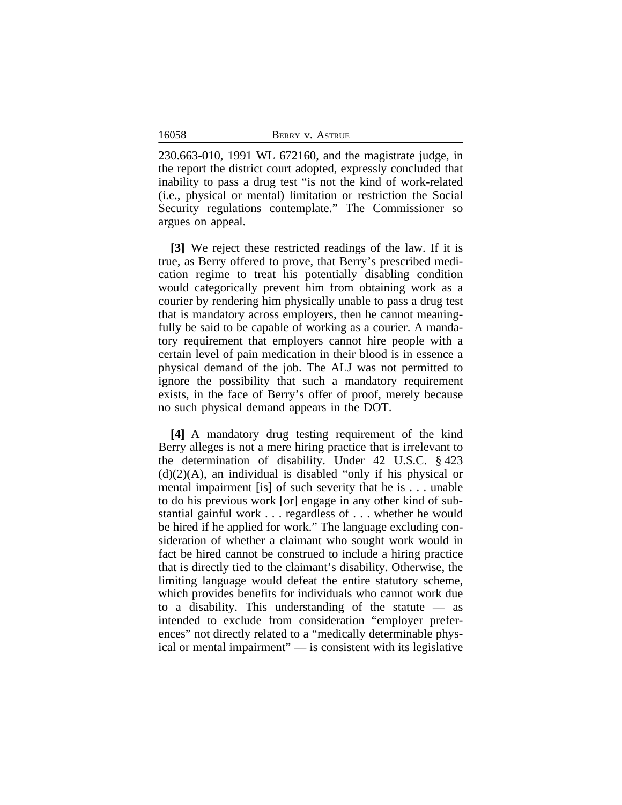230.663-010, 1991 WL 672160, and the magistrate judge, in the report the district court adopted, expressly concluded that inability to pass a drug test "is not the kind of work-related (i.e., physical or mental) limitation or restriction the Social Security regulations contemplate." The Commissioner so argues on appeal.

**[3]** We reject these restricted readings of the law. If it is true, as Berry offered to prove, that Berry's prescribed medication regime to treat his potentially disabling condition would categorically prevent him from obtaining work as a courier by rendering him physically unable to pass a drug test that is mandatory across employers, then he cannot meaningfully be said to be capable of working as a courier. A mandatory requirement that employers cannot hire people with a certain level of pain medication in their blood is in essence a physical demand of the job. The ALJ was not permitted to ignore the possibility that such a mandatory requirement exists, in the face of Berry's offer of proof, merely because no such physical demand appears in the DOT.

**[4]** A mandatory drug testing requirement of the kind Berry alleges is not a mere hiring practice that is irrelevant to the determination of disability. Under 42 U.S.C. § 423  $(d)(2)(A)$ , an individual is disabled "only if his physical or mental impairment [is] of such severity that he is . . . unable to do his previous work [or] engage in any other kind of substantial gainful work . . . regardless of . . . whether he would be hired if he applied for work." The language excluding consideration of whether a claimant who sought work would in fact be hired cannot be construed to include a hiring practice that is directly tied to the claimant's disability. Otherwise, the limiting language would defeat the entire statutory scheme, which provides benefits for individuals who cannot work due to a disability. This understanding of the statute  $-$  as intended to exclude from consideration "employer preferences" not directly related to a "medically determinable physical or mental impairment" — is consistent with its legislative

16058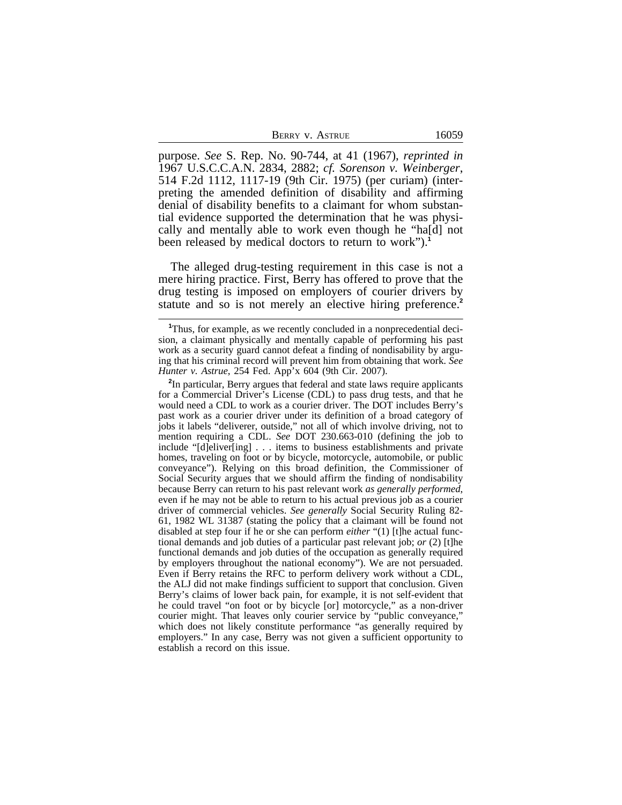purpose. *See* S. Rep. No. 90-744, at 41 (1967), *reprinted in* 1967 U.S.C.C.A.N. 2834, 2882; *cf. Sorenson v. Weinberger*, 514 F.2d 1112, 1117-19 (9th Cir. 1975) (per curiam) (interpreting the amended definition of disability and affirming denial of disability benefits to a claimant for whom substantial evidence supported the determination that he was physically and mentally able to work even though he "ha[d] not been released by medical doctors to return to work").**<sup>1</sup>**

The alleged drug-testing requirement in this case is not a mere hiring practice. First, Berry has offered to prove that the drug testing is imposed on employers of courier drivers by statute and so is not merely an elective hiring preference.**<sup>2</sup>**

<sup>&</sup>lt;sup>1</sup>Thus, for example, as we recently concluded in a nonprecedential decision, a claimant physically and mentally capable of performing his past work as a security guard cannot defeat a finding of nondisability by arguing that his criminal record will prevent him from obtaining that work. *See Hunter v. Astrue*, 254 Fed. App'x 604 (9th Cir. 2007).

**<sup>2</sup>** In particular, Berry argues that federal and state laws require applicants for a Commercial Driver's License (CDL) to pass drug tests, and that he would need a CDL to work as a courier driver. The DOT includes Berry's past work as a courier driver under its definition of a broad category of jobs it labels "deliverer, outside," not all of which involve driving, not to mention requiring a CDL. *See* DOT 230.663-010 (defining the job to include "[d]eliver[ing] . . . items to business establishments and private homes, traveling on foot or by bicycle, motorcycle, automobile, or public conveyance"). Relying on this broad definition, the Commissioner of Social Security argues that we should affirm the finding of nondisability because Berry can return to his past relevant work *as generally performed*, even if he may not be able to return to his actual previous job as a courier driver of commercial vehicles. *See generally* Social Security Ruling 82- 61, 1982 WL 31387 (stating the policy that a claimant will be found not disabled at step four if he or she can perform *either* "(1) [t]he actual functional demands and job duties of a particular past relevant job; *or* (2) [t]he functional demands and job duties of the occupation as generally required by employers throughout the national economy"). We are not persuaded. Even if Berry retains the RFC to perform delivery work without a CDL, the ALJ did not make findings sufficient to support that conclusion. Given Berry's claims of lower back pain, for example, it is not self-evident that he could travel "on foot or by bicycle [or] motorcycle," as a non-driver courier might. That leaves only courier service by "public conveyance," which does not likely constitute performance "as generally required by employers." In any case, Berry was not given a sufficient opportunity to establish a record on this issue.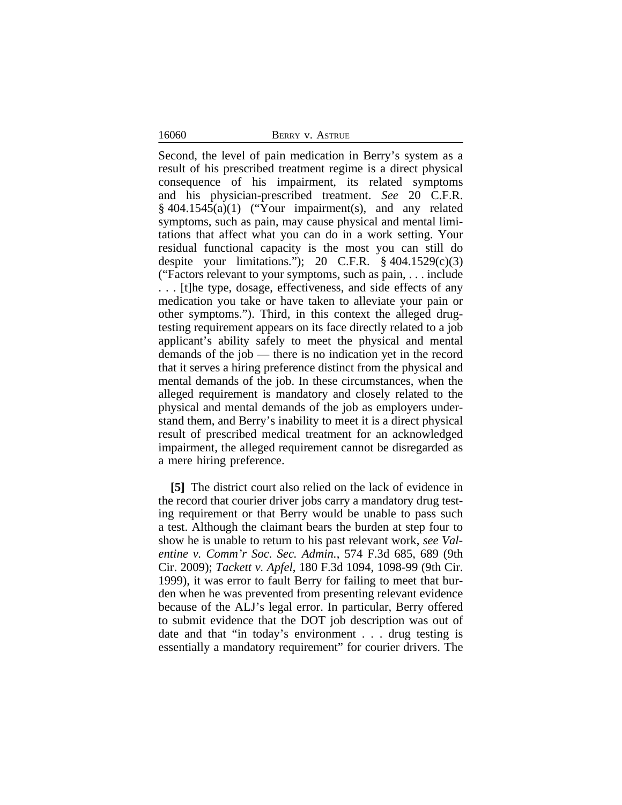16060 BERRY v. ASTRUE

Second, the level of pain medication in Berry's system as a result of his prescribed treatment regime is a direct physical consequence of his impairment, its related symptoms and his physician-prescribed treatment. *See* 20 C.F.R.  $§$  404.1545(a)(1) ("Your impairment(s), and any related symptoms, such as pain, may cause physical and mental limitations that affect what you can do in a work setting. Your residual functional capacity is the most you can still do despite your limitations."); 20 C.F.R.  $\S$  404.1529(c)(3) ("Factors relevant to your symptoms, such as pain, . . . include . . . [t]he type, dosage, effectiveness, and side effects of any medication you take or have taken to alleviate your pain or other symptoms."). Third, in this context the alleged drugtesting requirement appears on its face directly related to a job applicant's ability safely to meet the physical and mental demands of the job — there is no indication yet in the record that it serves a hiring preference distinct from the physical and mental demands of the job. In these circumstances, when the alleged requirement is mandatory and closely related to the physical and mental demands of the job as employers understand them, and Berry's inability to meet it is a direct physical result of prescribed medical treatment for an acknowledged impairment, the alleged requirement cannot be disregarded as a mere hiring preference.

**[5]** The district court also relied on the lack of evidence in the record that courier driver jobs carry a mandatory drug testing requirement or that Berry would be unable to pass such a test. Although the claimant bears the burden at step four to show he is unable to return to his past relevant work, *see Valentine v. Comm'r Soc. Sec. Admin.*, 574 F.3d 685, 689 (9th Cir. 2009); *Tackett v. Apfel*, 180 F.3d 1094, 1098-99 (9th Cir. 1999), it was error to fault Berry for failing to meet that burden when he was prevented from presenting relevant evidence because of the ALJ's legal error. In particular, Berry offered to submit evidence that the DOT job description was out of date and that "in today's environment . . . drug testing is essentially a mandatory requirement" for courier drivers. The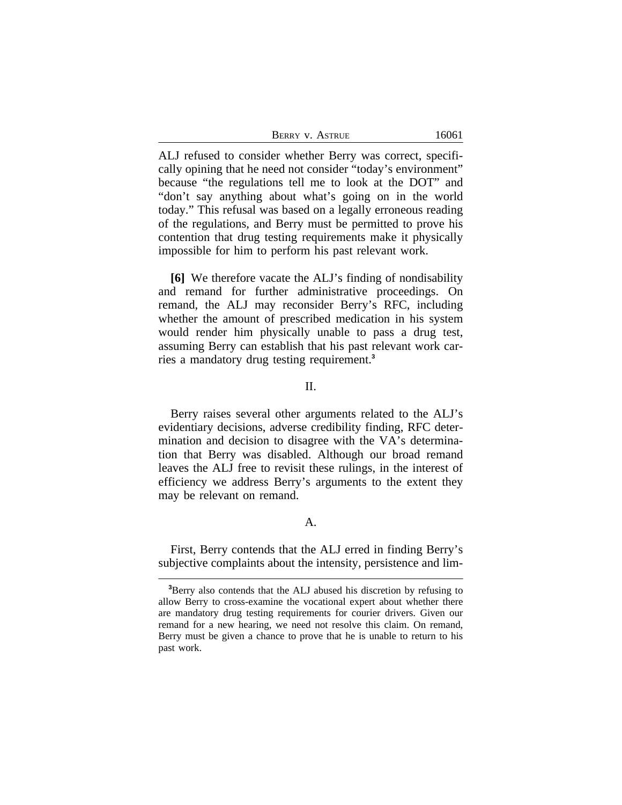| BERRY V. ASTRUE | 16061 |
|-----------------|-------|
|-----------------|-------|

ALJ refused to consider whether Berry was correct, specifically opining that he need not consider "today's environment" because "the regulations tell me to look at the DOT" and "don't say anything about what's going on in the world today." This refusal was based on a legally erroneous reading of the regulations, and Berry must be permitted to prove his contention that drug testing requirements make it physically impossible for him to perform his past relevant work.

**[6]** We therefore vacate the ALJ's finding of nondisability and remand for further administrative proceedings. On remand, the ALJ may reconsider Berry's RFC, including whether the amount of prescribed medication in his system would render him physically unable to pass a drug test, assuming Berry can establish that his past relevant work carries a mandatory drug testing requirement.**<sup>3</sup>**

## II.

Berry raises several other arguments related to the ALJ's evidentiary decisions, adverse credibility finding, RFC determination and decision to disagree with the VA's determination that Berry was disabled. Although our broad remand leaves the ALJ free to revisit these rulings, in the interest of efficiency we address Berry's arguments to the extent they may be relevant on remand.

## A.

First, Berry contends that the ALJ erred in finding Berry's subjective complaints about the intensity, persistence and lim-

**<sup>3</sup>**Berry also contends that the ALJ abused his discretion by refusing to allow Berry to cross-examine the vocational expert about whether there are mandatory drug testing requirements for courier drivers. Given our remand for a new hearing, we need not resolve this claim. On remand, Berry must be given a chance to prove that he is unable to return to his past work.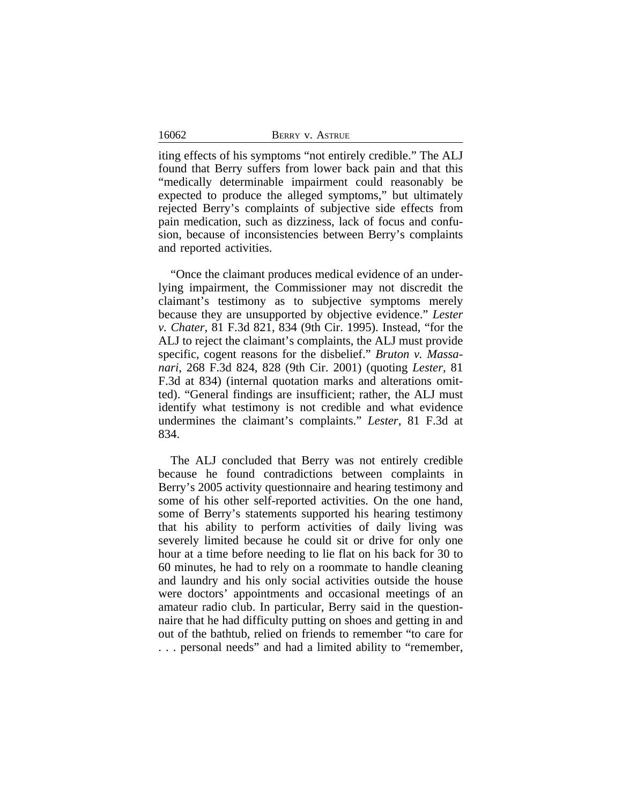16062

iting effects of his symptoms "not entirely credible." The ALJ found that Berry suffers from lower back pain and that this "medically determinable impairment could reasonably be expected to produce the alleged symptoms," but ultimately rejected Berry's complaints of subjective side effects from pain medication, such as dizziness, lack of focus and confusion, because of inconsistencies between Berry's complaints and reported activities.

"Once the claimant produces medical evidence of an underlying impairment, the Commissioner may not discredit the claimant's testimony as to subjective symptoms merely because they are unsupported by objective evidence." *Lester v. Chater*, 81 F.3d 821, 834 (9th Cir. 1995). Instead, "for the ALJ to reject the claimant's complaints, the ALJ must provide specific, cogent reasons for the disbelief." *Bruton v. Massanari*, 268 F.3d 824, 828 (9th Cir. 2001) (quoting *Lester*, 81 F.3d at 834) (internal quotation marks and alterations omitted). "General findings are insufficient; rather, the ALJ must identify what testimony is not credible and what evidence undermines the claimant's complaints." *Lester*, 81 F.3d at 834.

The ALJ concluded that Berry was not entirely credible because he found contradictions between complaints in Berry's 2005 activity questionnaire and hearing testimony and some of his other self-reported activities. On the one hand, some of Berry's statements supported his hearing testimony that his ability to perform activities of daily living was severely limited because he could sit or drive for only one hour at a time before needing to lie flat on his back for 30 to 60 minutes, he had to rely on a roommate to handle cleaning and laundry and his only social activities outside the house were doctors' appointments and occasional meetings of an amateur radio club. In particular, Berry said in the questionnaire that he had difficulty putting on shoes and getting in and out of the bathtub, relied on friends to remember "to care for . . . personal needs" and had a limited ability to "remember,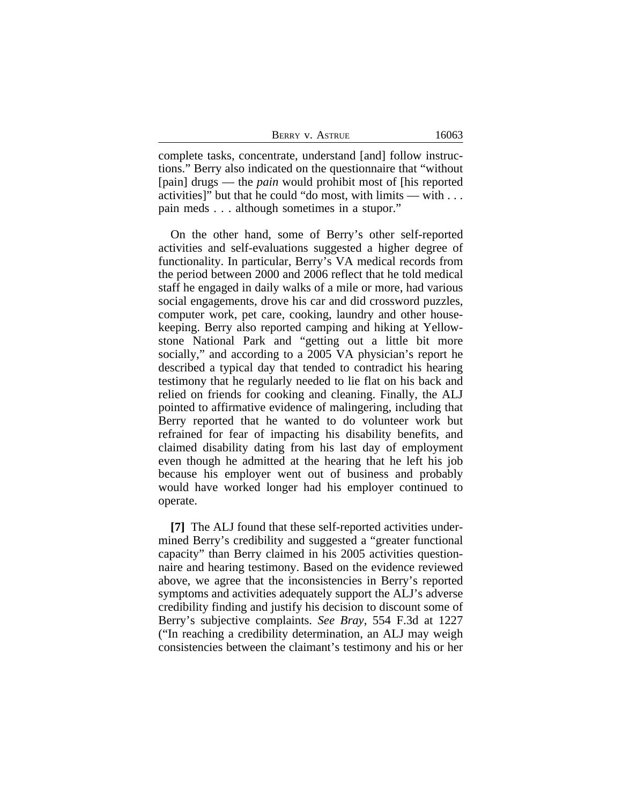| <b>BERRY V. ASTRUE</b> | 16063 |
|------------------------|-------|
|                        |       |

complete tasks, concentrate, understand [and] follow instructions." Berry also indicated on the questionnaire that "without [pain] drugs — the *pain* would prohibit most of [his reported activities]" but that he could "do most, with limits — with . . . pain meds . . . although sometimes in a stupor."

On the other hand, some of Berry's other self-reported activities and self-evaluations suggested a higher degree of functionality. In particular, Berry's VA medical records from the period between 2000 and 2006 reflect that he told medical staff he engaged in daily walks of a mile or more, had various social engagements, drove his car and did crossword puzzles, computer work, pet care, cooking, laundry and other housekeeping. Berry also reported camping and hiking at Yellowstone National Park and "getting out a little bit more socially," and according to a 2005 VA physician's report he described a typical day that tended to contradict his hearing testimony that he regularly needed to lie flat on his back and relied on friends for cooking and cleaning. Finally, the ALJ pointed to affirmative evidence of malingering, including that Berry reported that he wanted to do volunteer work but refrained for fear of impacting his disability benefits, and claimed disability dating from his last day of employment even though he admitted at the hearing that he left his job because his employer went out of business and probably would have worked longer had his employer continued to operate.

**[7]** The ALJ found that these self-reported activities undermined Berry's credibility and suggested a "greater functional capacity" than Berry claimed in his 2005 activities questionnaire and hearing testimony. Based on the evidence reviewed above, we agree that the inconsistencies in Berry's reported symptoms and activities adequately support the ALJ's adverse credibility finding and justify his decision to discount some of Berry's subjective complaints. *See Bray*, 554 F.3d at 1227 ("In reaching a credibility determination, an ALJ may weigh consistencies between the claimant's testimony and his or her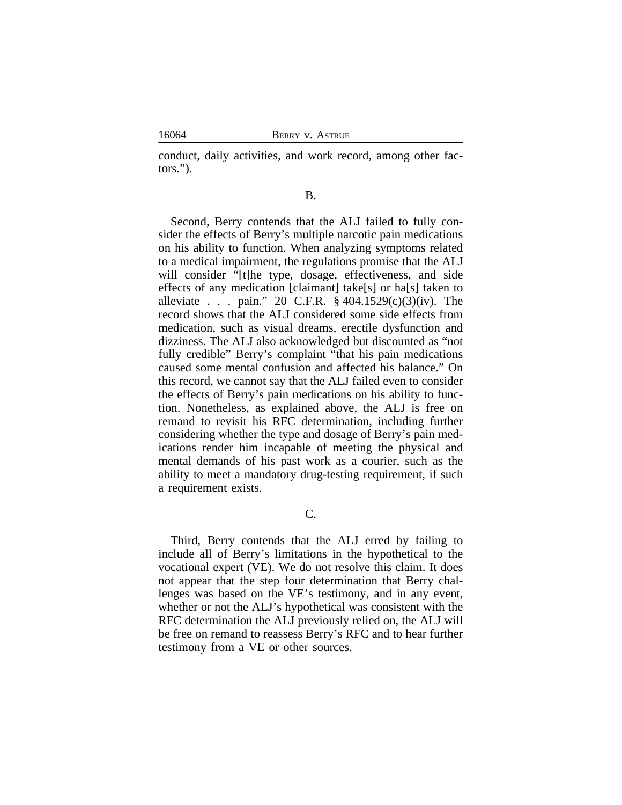16064 BERRY v. ASTRUE

conduct, daily activities, and work record, among other factors.").

### B.

Second, Berry contends that the ALJ failed to fully consider the effects of Berry's multiple narcotic pain medications on his ability to function. When analyzing symptoms related to a medical impairment, the regulations promise that the ALJ will consider "[t]he type, dosage, effectiveness, and side effects of any medication [claimant] take[s] or ha[s] taken to alleviate . . . pain." 20 C.F.R. § 404.1529(c)(3)(iv). The record shows that the ALJ considered some side effects from medication, such as visual dreams, erectile dysfunction and dizziness. The ALJ also acknowledged but discounted as "not fully credible" Berry's complaint "that his pain medications caused some mental confusion and affected his balance." On this record, we cannot say that the ALJ failed even to consider the effects of Berry's pain medications on his ability to function. Nonetheless, as explained above, the ALJ is free on remand to revisit his RFC determination, including further considering whether the type and dosage of Berry's pain medications render him incapable of meeting the physical and mental demands of his past work as a courier, such as the ability to meet a mandatory drug-testing requirement, if such a requirement exists.

# C.

Third, Berry contends that the ALJ erred by failing to include all of Berry's limitations in the hypothetical to the vocational expert (VE). We do not resolve this claim. It does not appear that the step four determination that Berry challenges was based on the VE's testimony, and in any event, whether or not the ALJ's hypothetical was consistent with the RFC determination the ALJ previously relied on, the ALJ will be free on remand to reassess Berry's RFC and to hear further testimony from a VE or other sources.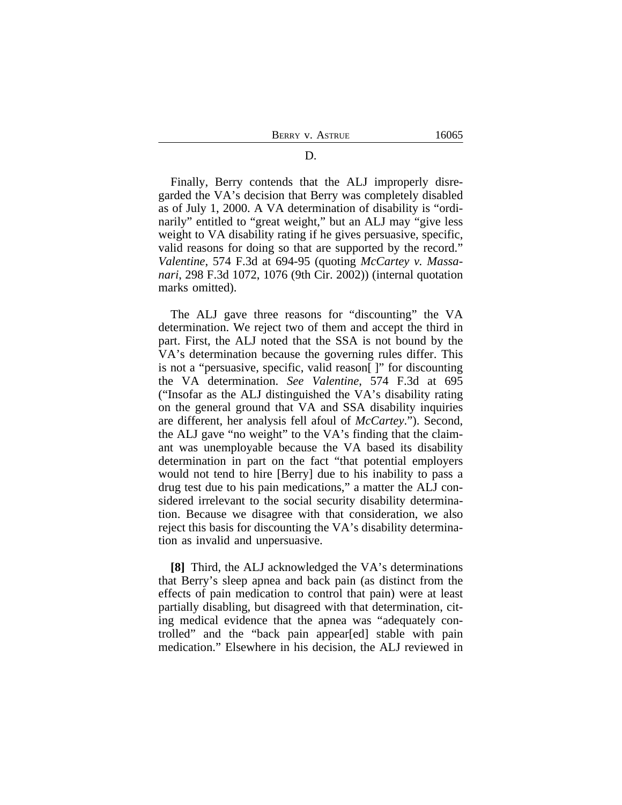D. BERRY V. ASTRUE 16065

Finally, Berry contends that the ALJ improperly disregarded the VA's decision that Berry was completely disabled as of July 1, 2000. A VA determination of disability is "ordinarily" entitled to "great weight," but an ALJ may "give less weight to VA disability rating if he gives persuasive, specific, valid reasons for doing so that are supported by the record." *Valentine*, 574 F.3d at 694-95 (quoting *McCartey v. Massanari*, 298 F.3d 1072, 1076 (9th Cir. 2002)) (internal quotation marks omitted).

The ALJ gave three reasons for "discounting" the VA determination. We reject two of them and accept the third in part. First, the ALJ noted that the SSA is not bound by the VA's determination because the governing rules differ. This is not a "persuasive, specific, valid reason[ ]" for discounting the VA determination. *See Valentine*, 574 F.3d at 695 ("Insofar as the ALJ distinguished the VA's disability rating on the general ground that VA and SSA disability inquiries are different, her analysis fell afoul of *McCartey*."). Second, the ALJ gave "no weight" to the VA's finding that the claimant was unemployable because the VA based its disability determination in part on the fact "that potential employers would not tend to hire [Berry] due to his inability to pass a drug test due to his pain medications," a matter the ALJ considered irrelevant to the social security disability determination. Because we disagree with that consideration, we also reject this basis for discounting the VA's disability determination as invalid and unpersuasive.

**[8]** Third, the ALJ acknowledged the VA's determinations that Berry's sleep apnea and back pain (as distinct from the effects of pain medication to control that pain) were at least partially disabling, but disagreed with that determination, citing medical evidence that the apnea was "adequately controlled" and the "back pain appear[ed] stable with pain medication." Elsewhere in his decision, the ALJ reviewed in